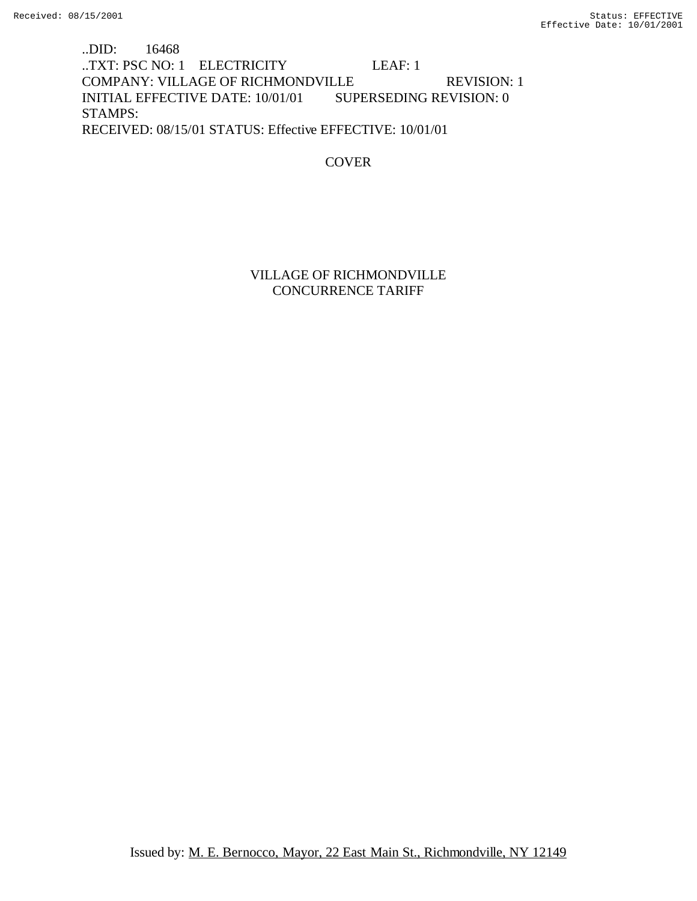..DID: 16468 ..TXT: PSC NO: 1 ELECTRICITY LEAF: 1 COMPANY: VILLAGE OF RICHMONDVILLE REVISION: 1 INITIAL EFFECTIVE DATE: 10/01/01 SUPERSEDING REVISION: 0 STAMPS: RECEIVED: 08/15/01 STATUS: Effective EFFECTIVE: 10/01/01

**COVER** 

## VILLAGE OF RICHMONDVILLE CONCURRENCE TARIFF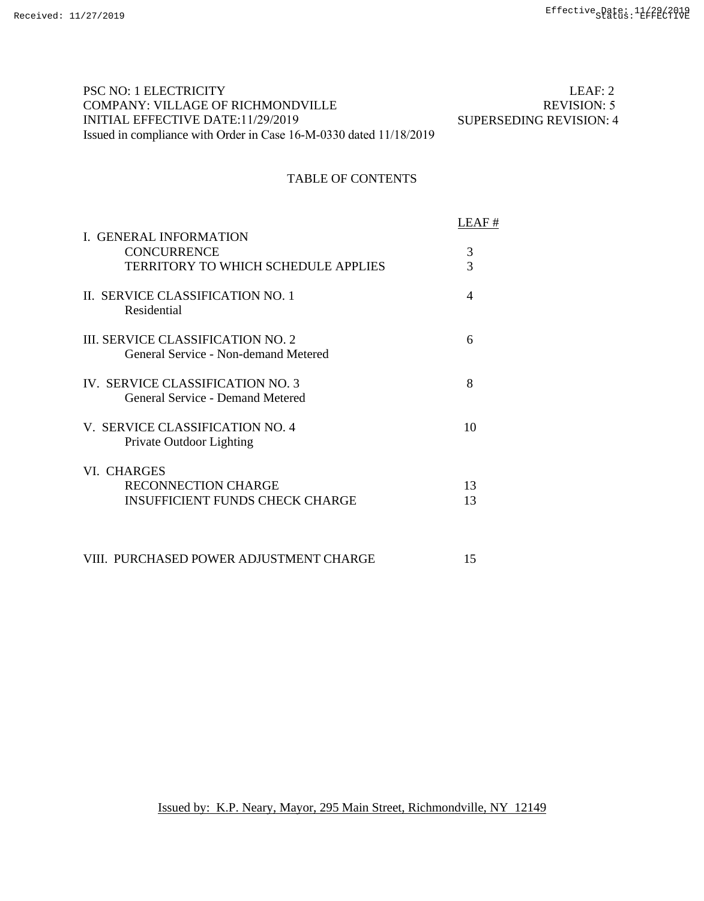## PSC NO: 1 ELECTRICITY COMPANY: VILLAGE OF RICHMONDVILLE INITIAL EFFECTIVE DATE:11/29/2019 Issued in compliance with Order in Case 16-M-0330 dated 11/18/2019

 LEAF: 2 REVISION: 5 SUPERSEDING REVISION: 4

# TABLE OF CONTENTS

|                                                                           | LEAF #   |
|---------------------------------------------------------------------------|----------|
| <b>I. GENERAL INFORMATION</b><br><b>CONCURRENCE</b>                       | 3        |
| TERRITORY TO WHICH SCHEDULE APPLIES                                       | 3        |
| II. SERVICE CLASSIFICATION NO. 1<br>Residential                           | 4        |
| III. SERVICE CLASSIFICATION NO. 2<br>General Service - Non-demand Metered | 6        |
| IV. SERVICE CLASSIFICATION NO. 3<br>General Service - Demand Metered      | 8        |
| V. SERVICE CLASSIFICATION NO. 4<br>Private Outdoor Lighting               | 10       |
| VI. CHARGES                                                               |          |
| RECONNECTION CHARGE<br><b>INSUFFICIENT FUNDS CHECK CHARGE</b>             | 13<br>13 |
|                                                                           |          |

VIII. PURCHASED POWER ADJUSTMENT CHARGE 15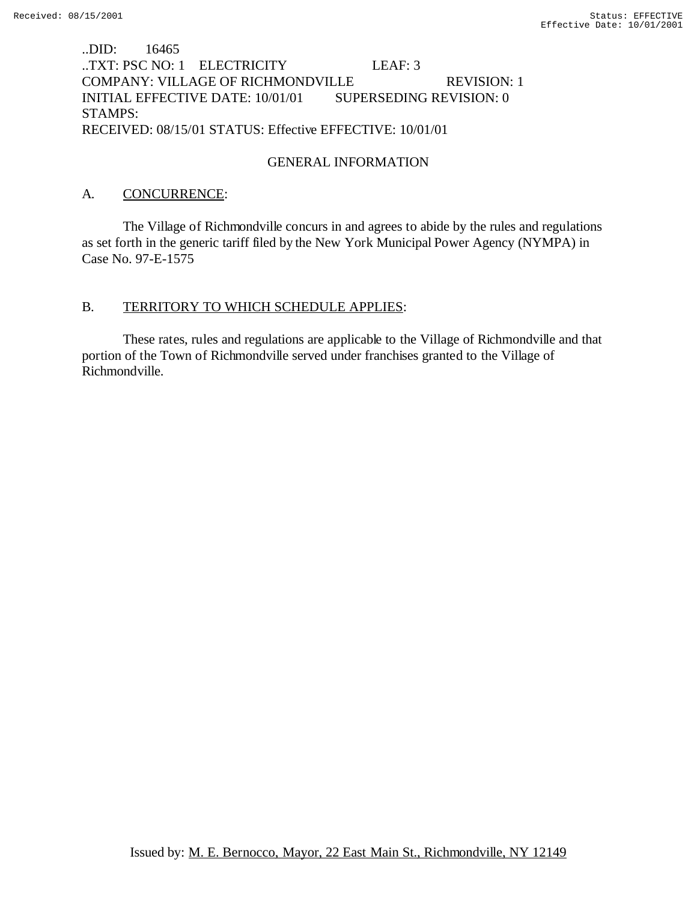## ..DID: 16465 ..TXT: PSC NO: 1 ELECTRICITY LEAF: 3 COMPANY: VILLAGE OF RICHMONDVILLE REVISION: 1 INITIAL EFFECTIVE DATE: 10/01/01 SUPERSEDING REVISION: 0 STAMPS: RECEIVED: 08/15/01 STATUS: Effective EFFECTIVE: 10/01/01

## GENERAL INFORMATION

## A. CONCURRENCE:

The Village of Richmondville concurs in and agrees to abide by the rules and regulations as set forth in the generic tariff filed by the New York Municipal Power Agency (NYMPA) in Case No. 97-E-1575

### B. TERRITORY TO WHICH SCHEDULE APPLIES:

These rates, rules and regulations are applicable to the Village of Richmondville and that portion of the Town of Richmondville served under franchises granted to the Village of Richmondville.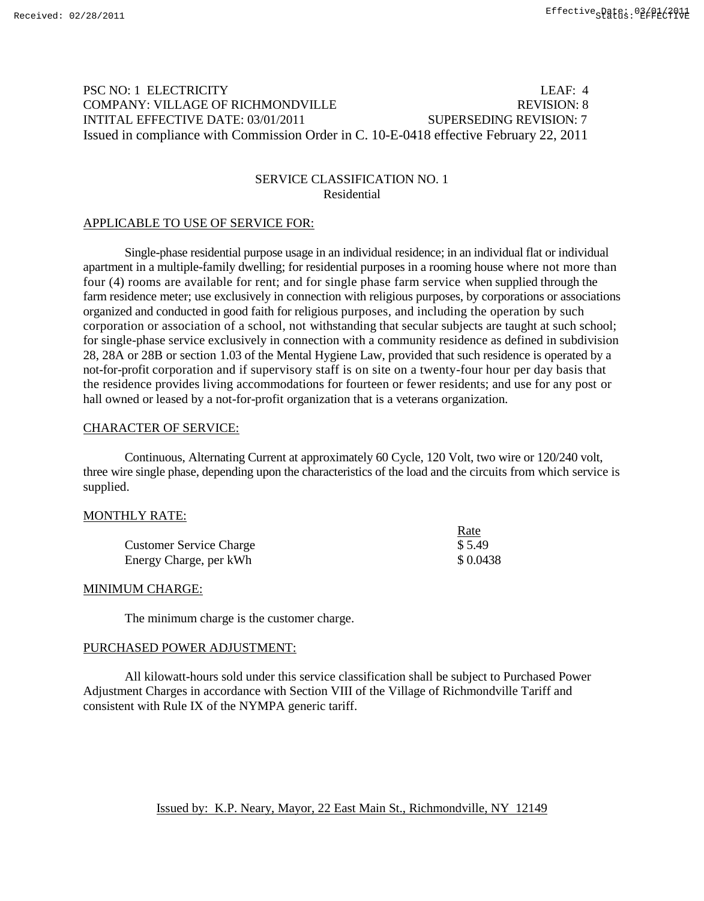## PSC NO: 1 ELECTRICITY LEAF: 4 COMPANY: VILLAGE OF RICHMONDVILLE REVISION: 8 INTITAL EFFECTIVE DATE: 03/01/2011 SUPERSEDING REVISION: 7 Issued in compliance with Commission Order in C. 10-E-0418 effective February 22, 2011

### SERVICE CLASSIFICATION NO. 1 Residential

#### APPLICABLE TO USE OF SERVICE FOR:

Single-phase residential purpose usage in an individual residence; in an individual flat or individual apartment in a multiple-family dwelling; for residential purposes in a rooming house where not more than four (4) rooms are available for rent; and for single phase farm service when supplied through the farm residence meter; use exclusively in connection with religious purposes, by corporations or associations organized and conducted in good faith for religious purposes, and including the operation by such corporation or association of a school, not withstanding that secular subjects are taught at such school; for single-phase service exclusively in connection with a community residence as defined in subdivision 28, 28A or 28B or section 1.03 of the Mental Hygiene Law, provided that such residence is operated by a not-for-profit corporation and if supervisory staff is on site on a twenty-four hour per day basis that the residence provides living accommodations for fourteen or fewer residents; and use for any post or hall owned or leased by a not-for-profit organization that is a veterans organization.

#### CHARACTER OF SERVICE:

Continuous, Alternating Current at approximately 60 Cycle, 120 Volt, two wire or 120/240 volt, three wire single phase, depending upon the characteristics of the load and the circuits from which service is supplied.

#### MONTHLY RATE:

|                                | Rate     |
|--------------------------------|----------|
| <b>Customer Service Charge</b> | \$5.49   |
| Energy Charge, per kWh         | \$0.0438 |

### MINIMUM CHARGE:

The minimum charge is the customer charge.

#### PURCHASED POWER ADJUSTMENT:

All kilowatt-hours sold under this service classification shall be subject to Purchased Power Adjustment Charges in accordance with Section VIII of the Village of Richmondville Tariff and consistent with Rule IX of the NYMPA generic tariff.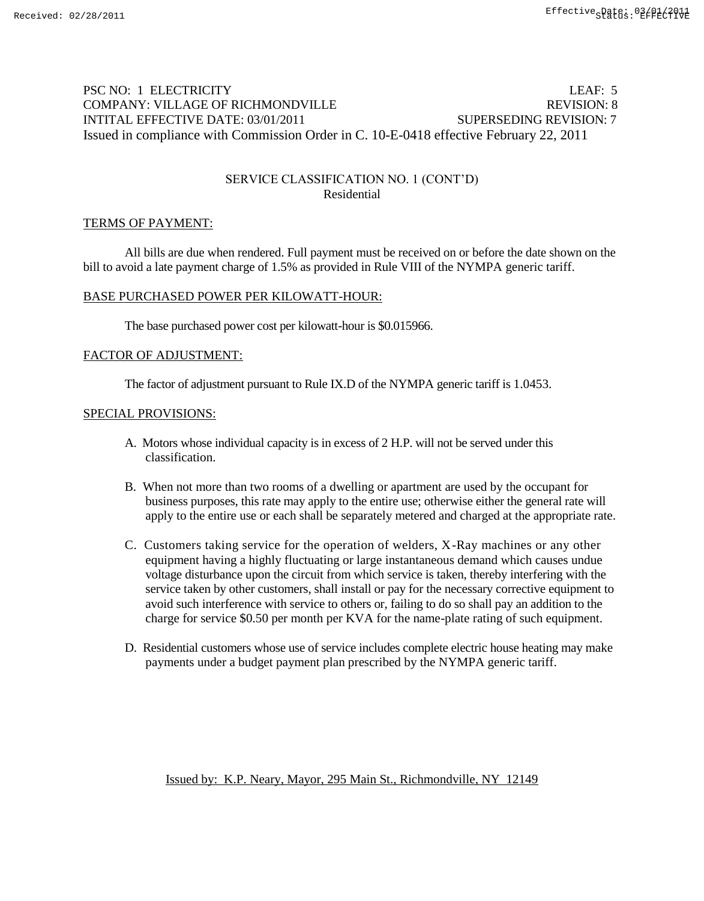## PSC NO: 1 ELECTRICITY LEAF: 5 COMPANY: VILLAGE OF RICHMONDVILLE **EXAMPLE REVISION: 8** INTITAL EFFECTIVE DATE: 03/01/2011 SUPERSEDING REVISION: 7 Issued in compliance with Commission Order in C. 10-E-0418 effective February 22, 2011

### SERVICE CLASSIFICATION NO. 1 (CONT'D) Residential

#### TERMS OF PAYMENT:

All bills are due when rendered. Full payment must be received on or before the date shown on the bill to avoid a late payment charge of 1.5% as provided in Rule VIII of the NYMPA generic tariff.

#### BASE PURCHASED POWER PER KILOWATT-HOUR:

The base purchased power cost per kilowatt-hour is \$0.015966.

#### FACTOR OF ADJUSTMENT:

The factor of adjustment pursuant to Rule IX.D of the NYMPA generic tariff is 1.0453.

#### SPECIAL PROVISIONS:

- A. Motors whose individual capacity is in excess of 2 H.P. will not be served under this classification.
- B. When not more than two rooms of a dwelling or apartment are used by the occupant for business purposes, this rate may apply to the entire use; otherwise either the general rate will apply to the entire use or each shall be separately metered and charged at the appropriate rate.
- C. Customers taking service for the operation of welders, X-Ray machines or any other equipment having a highly fluctuating or large instantaneous demand which causes undue voltage disturbance upon the circuit from which service is taken, thereby interfering with the service taken by other customers, shall install or pay for the necessary corrective equipment to avoid such interference with service to others or, failing to do so shall pay an addition to the charge for service \$0.50 per month per KVA for the name-plate rating of such equipment.
- D. Residential customers whose use of service includes complete electric house heating may make payments under a budget payment plan prescribed by the NYMPA generic tariff.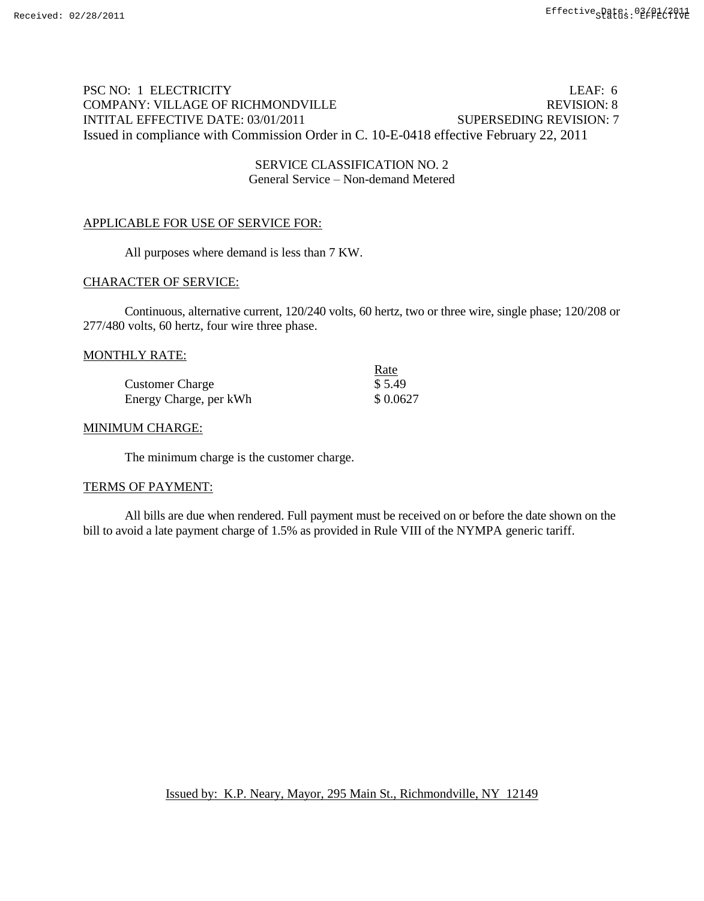## PSC NO: 1 ELECTRICITY LEAF: 6 COMPANY: VILLAGE OF RICHMONDVILLE THE REVISION: 8 INTITAL EFFECTIVE DATE: 03/01/2011 SUPERSEDING REVISION: 7 Issued in compliance with Commission Order in C. 10-E-0418 effective February 22, 2011

## SERVICE CLASSIFICATION NO. 2 General Service – Non-demand Metered

### APPLICABLE FOR USE OF SERVICE FOR:

All purposes where demand is less than 7 KW.

### CHARACTER OF SERVICE:

Continuous, alternative current, 120/240 volts, 60 hertz, two or three wire, single phase; 120/208 or 277/480 volts, 60 hertz, four wire three phase.

#### MONTHLY RATE:

|                        | Rate     |
|------------------------|----------|
| <b>Customer Charge</b> | \$5.49   |
| Energy Charge, per kWh | \$0.0627 |

#### MINIMUM CHARGE:

The minimum charge is the customer charge.

#### TERMS OF PAYMENT:

All bills are due when rendered. Full payment must be received on or before the date shown on the bill to avoid a late payment charge of 1.5% as provided in Rule VIII of the NYMPA generic tariff.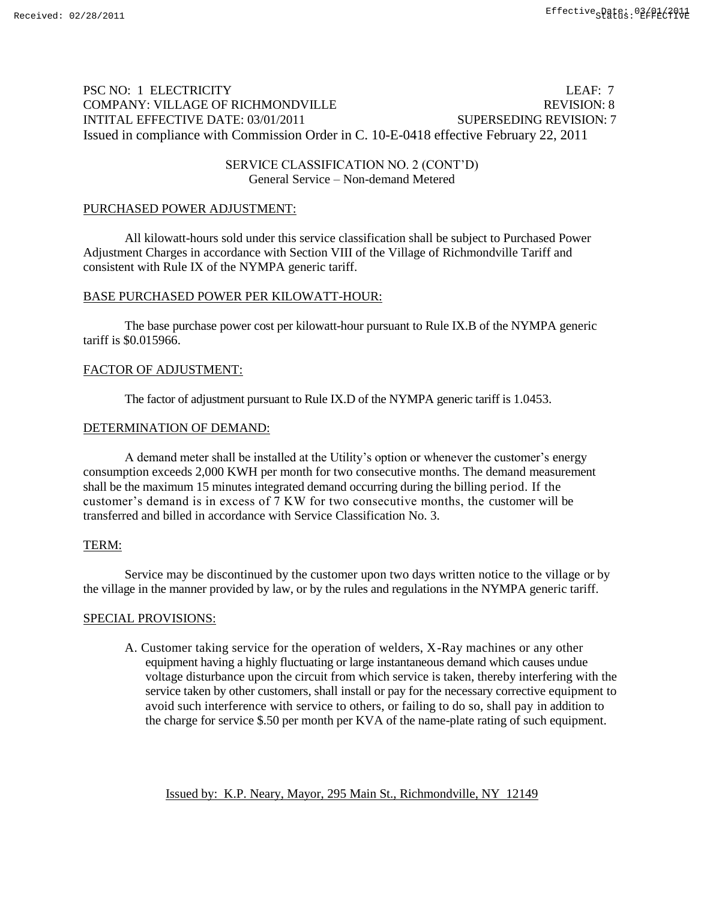# PSC NO: 1 ELECTRICITY LEAF: 7 COMPANY: VILLAGE OF RICHMONDVILLE REVISION: 8 INTITAL EFFECTIVE DATE: 03/01/2011 SUPERSEDING REVISION: 7 Issued in compliance with Commission Order in C. 10-E-0418 effective February 22, 2011

## SERVICE CLASSIFICATION NO. 2 (CONT'D) General Service – Non-demand Metered

# PURCHASED POWER ADJUSTMENT:

All kilowatt-hours sold under this service classification shall be subject to Purchased Power Adjustment Charges in accordance with Section VIII of the Village of Richmondville Tariff and consistent with Rule IX of the NYMPA generic tariff.

# BASE PURCHASED POWER PER KILOWATT-HOUR:

The base purchase power cost per kilowatt-hour pursuant to Rule IX.B of the NYMPA generic tariff is \$0.015966.

# FACTOR OF ADJUSTMENT:

The factor of adjustment pursuant to Rule IX.D of the NYMPA generic tariff is 1.0453.

# DETERMINATION OF DEMAND:

A demand meter shall be installed at the Utility's option or whenever the customer's energy consumption exceeds 2,000 KWH per month for two consecutive months. The demand measurement shall be the maximum 15 minutes integrated demand occurring during the billing period. If the customer's demand is in excess of 7 KW for two consecutive months, the customer will be transferred and billed in accordance with Service Classification No. 3.

## TERM:

Service may be discontinued by the customer upon two days written notice to the village or by the village in the manner provided by law, or by the rules and regulations in the NYMPA generic tariff.

## SPECIAL PROVISIONS:

A. Customer taking service for the operation of welders, X-Ray machines or any other equipment having a highly fluctuating or large instantaneous demand which causes undue voltage disturbance upon the circuit from which service is taken, thereby interfering with the service taken by other customers, shall install or pay for the necessary corrective equipment to avoid such interference with service to others, or failing to do so, shall pay in addition to the charge for service \$.50 per month per KVA of the name-plate rating of such equipment.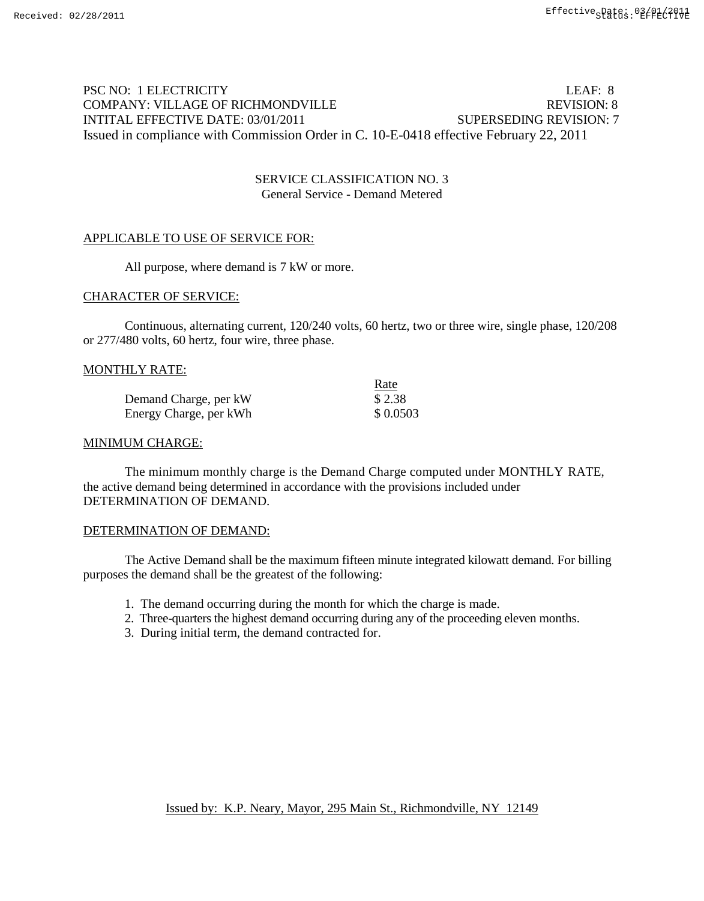# PSC NO: 1 ELECTRICITY LEAF: 8 COMPANY: VILLAGE OF RICHMONDVILLE REVISION: 8 INTITAL EFFECTIVE DATE: 03/01/2011 SUPERSEDING REVISION: 7 Issued in compliance with Commission Order in C. 10-E-0418 effective February 22, 2011

### SERVICE CLASSIFICATION NO. 3 General Service - Demand Metered

### APPLICABLE TO USE OF SERVICE FOR:

All purpose, where demand is 7 kW or more.

#### CHARACTER OF SERVICE:

Continuous, alternating current, 120/240 volts, 60 hertz, two or three wire, single phase, 120/208 or 277/480 volts, 60 hertz, four wire, three phase.

#### MONTHLY RATE:

|                        | Rate     |
|------------------------|----------|
| Demand Charge, per kW  | \$2.38   |
| Energy Charge, per kWh | \$0.0503 |

#### MINIMUM CHARGE:

The minimum monthly charge is the Demand Charge computed under MONTHLY RATE, the active demand being determined in accordance with the provisions included under DETERMINATION OF DEMAND.

### DETERMINATION OF DEMAND:

The Active Demand shall be the maximum fifteen minute integrated kilowatt demand. For billing purposes the demand shall be the greatest of the following:

- 1. The demand occurring during the month for which the charge is made.
- 2. Three-quarters the highest demand occurring during any of the proceeding eleven months.
- 3. During initial term, the demand contracted for.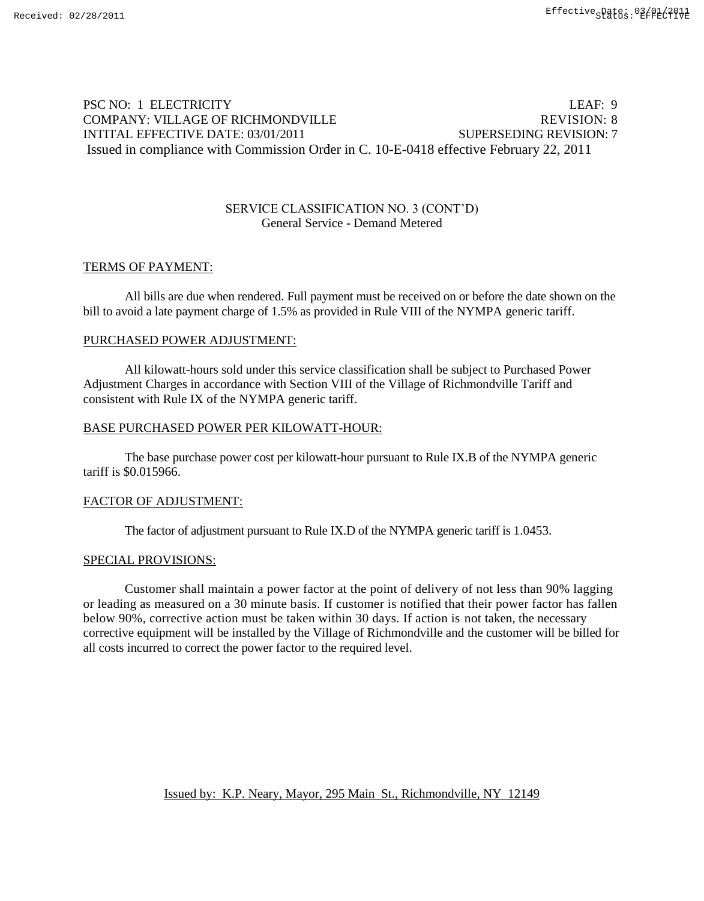## PSC NO: 1 ELECTRICITY LEAF: 9 COMPANY: VILLAGE OF RICHMONDVILLE THE REVISION: 8 INTITAL EFFECTIVE DATE: 03/01/2011 SUPERSEDING REVISION: 7 Issued in compliance with Commission Order in C. 10-E-0418 effective February 22, 2011

#### SERVICE CLASSIFICATION NO. 3 (CONT'D) General Service - Demand Metered

### TERMS OF PAYMENT:

All bills are due when rendered. Full payment must be received on or before the date shown on the bill to avoid a late payment charge of 1.5% as provided in Rule VIII of the NYMPA generic tariff.

#### PURCHASED POWER ADJUSTMENT:

All kilowatt-hours sold under this service classification shall be subject to Purchased Power Adjustment Charges in accordance with Section VIII of the Village of Richmondville Tariff and consistent with Rule IX of the NYMPA generic tariff.

#### BASE PURCHASED POWER PER KILOWATT-HOUR:

The base purchase power cost per kilowatt-hour pursuant to Rule IX.B of the NYMPA generic tariff is \$0.015966.

#### FACTOR OF ADJUSTMENT:

The factor of adjustment pursuant to Rule IX.D of the NYMPA generic tariff is 1.0453.

#### SPECIAL PROVISIONS:

Customer shall maintain a power factor at the point of delivery of not less than 90% lagging or leading as measured on a 30 minute basis. If customer is notified that their power factor has fallen below 90%, corrective action must be taken within 30 days. If action is not taken, the necessary corrective equipment will be installed by the Village of Richmondville and the customer will be billed for all costs incurred to correct the power factor to the required level.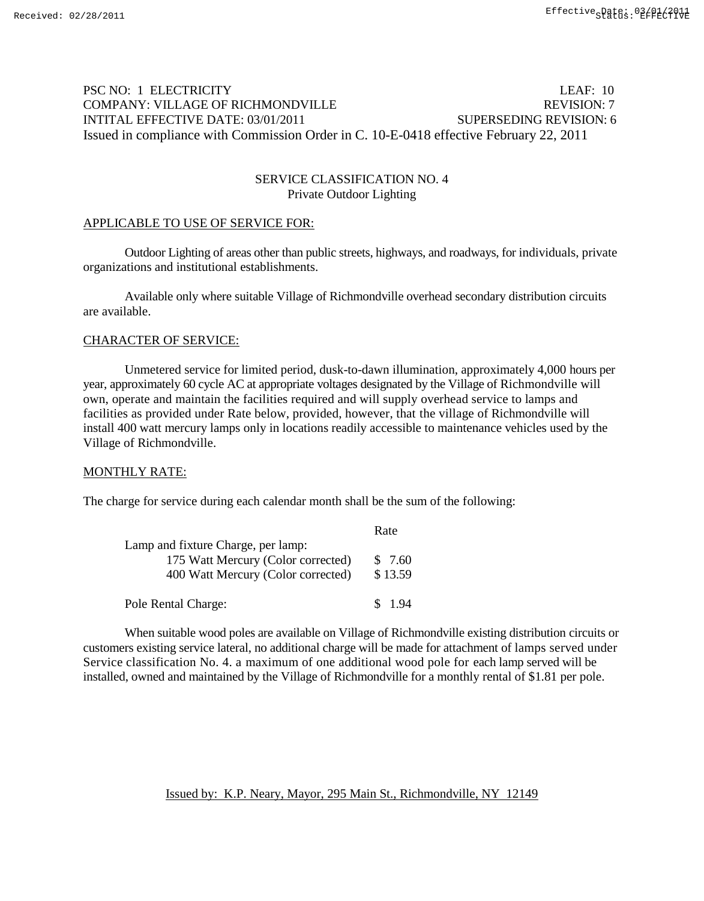## PSC NO: 1 ELECTRICITY LEAF: 10 COMPANY: VILLAGE OF RICHMONDVILLE REVISION: 7 INTITAL EFFECTIVE DATE: 03/01/2011 SUPERSEDING REVISION: 6 Issued in compliance with Commission Order in C. 10-E-0418 effective February 22, 2011

### SERVICE CLASSIFICATION NO. 4 Private Outdoor Lighting

#### APPLICABLE TO USE OF SERVICE FOR:

Outdoor Lighting of areas other than public streets, highways, and roadways, for individuals, private organizations and institutional establishments.

Available only where suitable Village of Richmondville overhead secondary distribution circuits are available.

#### CHARACTER OF SERVICE:

Unmetered service for limited period, dusk-to-dawn illumination, approximately 4,000 hours per year, approximately 60 cycle AC at appropriate voltages designated by the Village of Richmondville will own, operate and maintain the facilities required and will supply overhead service to lamps and facilities as provided under Rate below, provided, however, that the village of Richmondville will install 400 watt mercury lamps only in locations readily accessible to maintenance vehicles used by the Village of Richmondville.

#### MONTHLY RATE:

The charge for service during each calendar month shall be the sum of the following:

|                                    | Rate    |
|------------------------------------|---------|
| Lamp and fixture Charge, per lamp: |         |
| 175 Watt Mercury (Color corrected) | \$7.60  |
| 400 Watt Mercury (Color corrected) | \$13.59 |
| Pole Rental Charge:                | \$1.94  |

When suitable wood poles are available on Village of Richmondville existing distribution circuits or customers existing service lateral, no additional charge will be made for attachment of lamps served under Service classification No. 4. a maximum of one additional wood pole for each lamp served will be installed, owned and maintained by the Village of Richmondville for a monthly rental of \$1.81 per pole.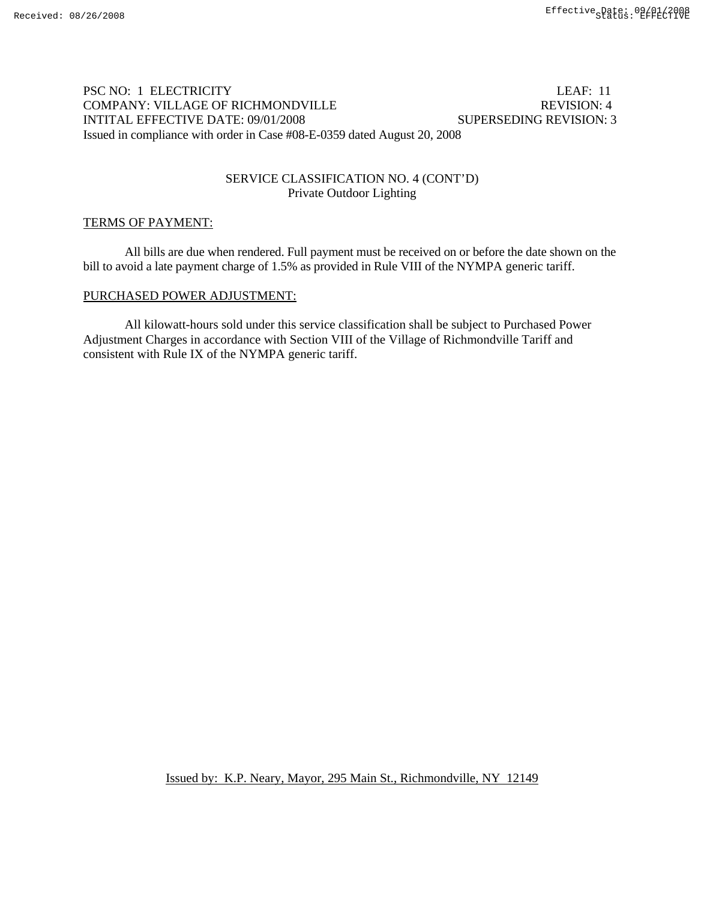### PSC NO: 1 ELECTRICITY LEAF: 11 COMPANY: VILLAGE OF RICHMONDVILLE REVISION: 4 INTITAL EFFECTIVE DATE: 09/01/2008 SUPERSEDING REVISION: 3 Issued in compliance with order in Case #08-E-0359 dated August 20, 2008

### SERVICE CLASSIFICATION NO. 4 (CONT'D) Private Outdoor Lighting

### TERMS OF PAYMENT:

All bills are due when rendered. Full payment must be received on or before the date shown on the bill to avoid a late payment charge of 1.5% as provided in Rule VIII of the NYMPA generic tariff.

### PURCHASED POWER ADJUSTMENT:

 All kilowatt-hours sold under this service classification shall be subject to Purchased Power Adjustment Charges in accordance with Section VIII of the Village of Richmondville Tariff and consistent with Rule IX of the NYMPA generic tariff.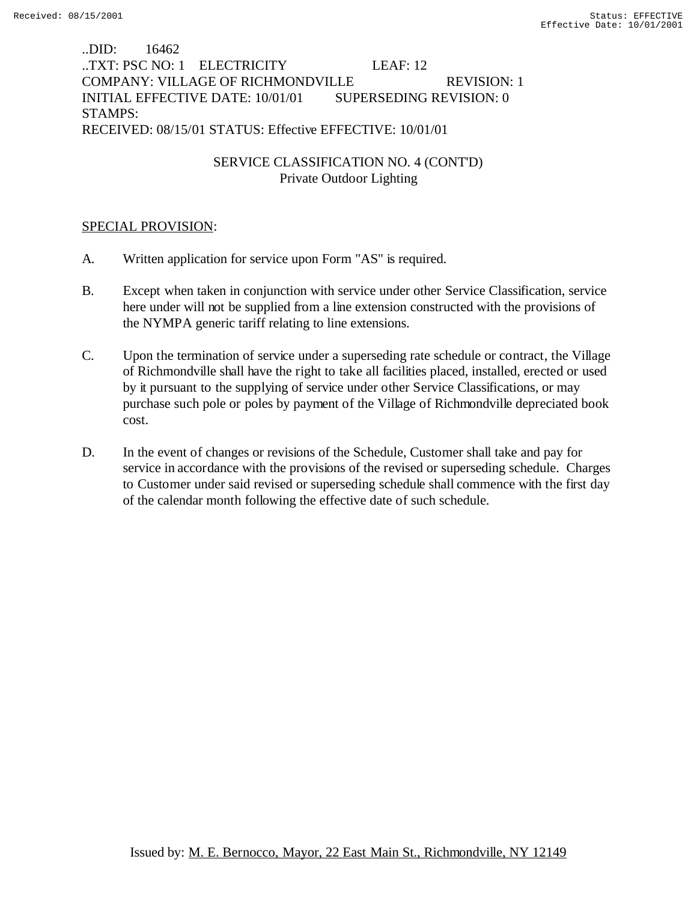## ..DID: 16462 ..TXT: PSC NO: 1 ELECTRICITY LEAF: 12 COMPANY: VILLAGE OF RICHMONDVILLE REVISION: 1 INITIAL EFFECTIVE DATE: 10/01/01 SUPERSEDING REVISION: 0 STAMPS: RECEIVED: 08/15/01 STATUS: Effective EFFECTIVE: 10/01/01

# SERVICE CLASSIFICATION NO. 4 (CONT'D) Private Outdoor Lighting

## SPECIAL PROVISION:

- A. Written application for service upon Form "AS" is required.
- B. Except when taken in conjunction with service under other Service Classification, service here under will not be supplied from a line extension constructed with the provisions of the NYMPA generic tariff relating to line extensions.
- C. Upon the termination of service under a superseding rate schedule or contract, the Village of Richmondville shall have the right to take all facilities placed, installed, erected or used by it pursuant to the supplying of service under other Service Classifications, or may purchase such pole or poles by payment of the Village of Richmondville depreciated book cost.
- D. In the event of changes or revisions of the Schedule, Customer shall take and pay for service in accordance with the provisions of the revised or superseding schedule. Charges to Customer under said revised or superseding schedule shall commence with the first day of the calendar month following the effective date of such schedule.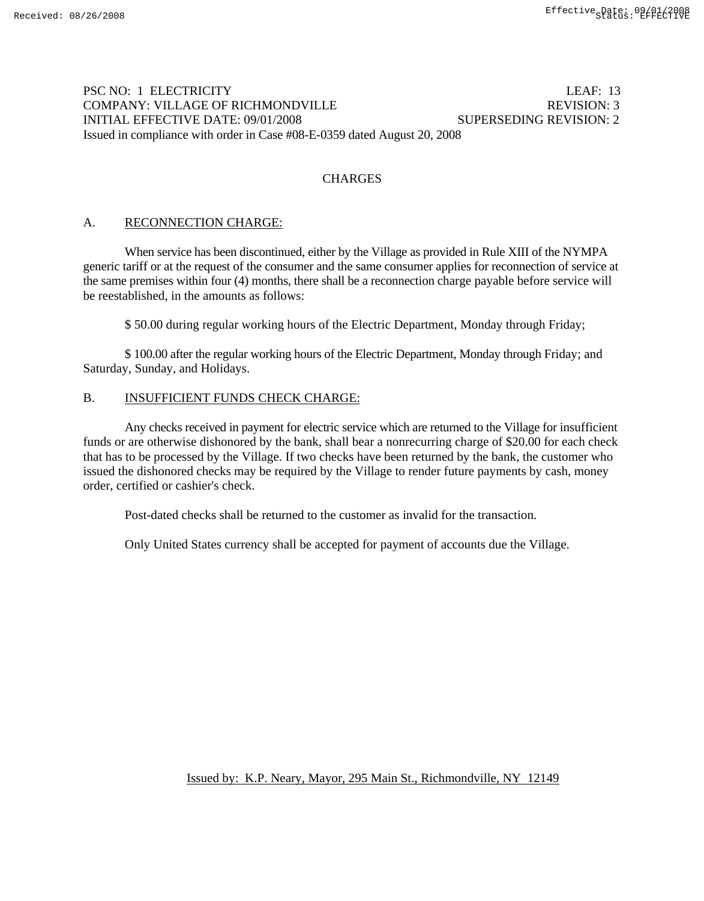## PSC NO: 1 ELECTRICITY LEAF: 13 COMPANY: VILLAGE OF RICHMONDVILLE REVISION: 3 INITIAL EFFECTIVE DATE: 09/01/2008 SUPERSEDING REVISION: 2 Issued in compliance with order in Case #08-E-0359 dated August 20, 2008

### **CHARGES**

### A. RECONNECTION CHARGE:

When service has been discontinued, either by the Village as provided in Rule XIII of the NYMPA generic tariff or at the request of the consumer and the same consumer applies for reconnection of service at the same premises within four (4) months, there shall be a reconnection charge payable before service will be reestablished, in the amounts as follows:

\$ 50.00 during regular working hours of the Electric Department, Monday through Friday;

\$ 100.00 after the regular working hours of the Electric Department, Monday through Friday; and Saturday, Sunday, and Holidays.

### B. INSUFFICIENT FUNDS CHECK CHARGE:

Any checks received in payment for electric service which are returned to the Village for insufficient funds or are otherwise dishonored by the bank, shall bear a nonrecurring charge of \$20.00 for each check that has to be processed by the Village. If two checks have been returned by the bank, the customer who issued the dishonored checks may be required by the Village to render future payments by cash, money order, certified or cashier's check.

Post-dated checks shall be returned to the customer as invalid for the transaction.

Only United States currency shall be accepted for payment of accounts due the Village.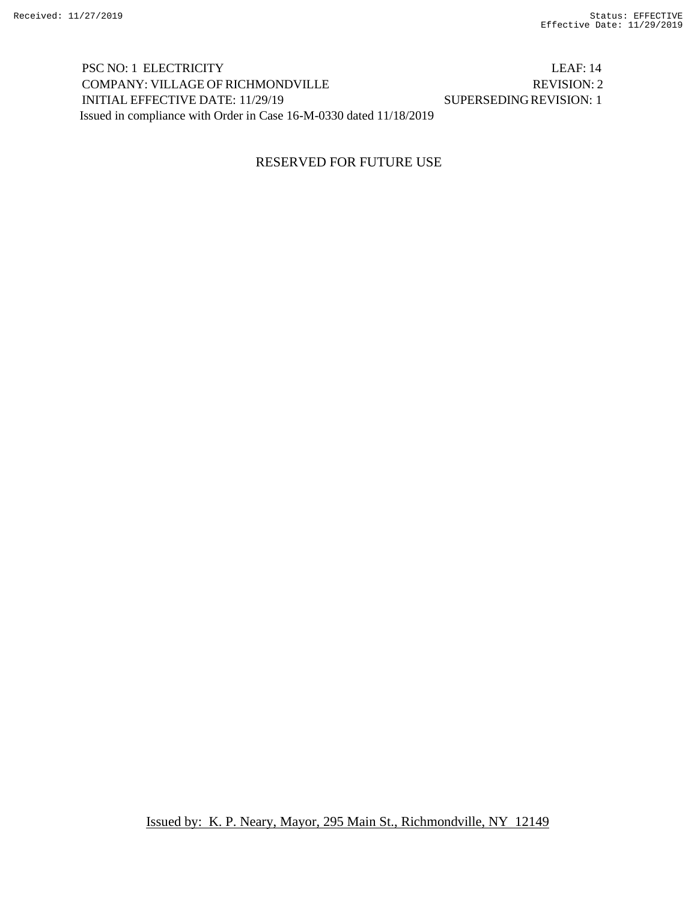PSC NO: 1 ELECTRICITY LEAF: 14 COMPANY: VILLAGE OF RICHMONDVILLE REVISION: 2 INITIAL EFFECTIVE DATE: 11/29/19 SUPERSEDINGREVISION: 1 Issued in compliance with Order in Case 16-M-0330 dated 11/18/2019

## RESERVED FOR FUTURE USE